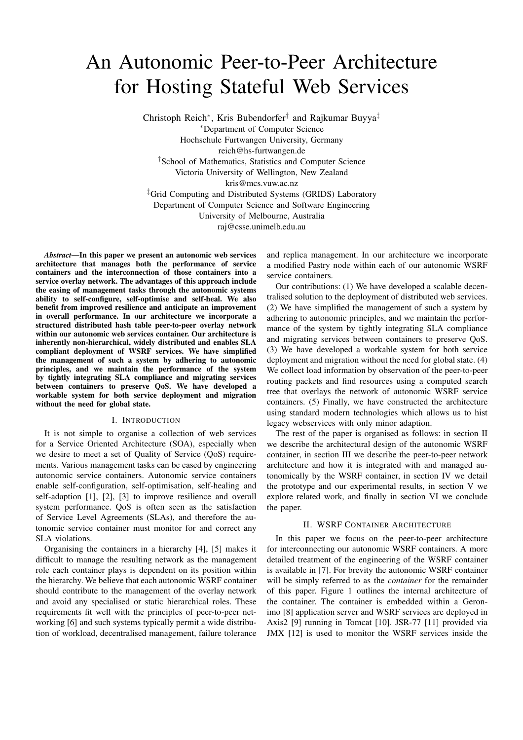# An Autonomic Peer-to-Peer Architecture for Hosting Stateful Web Services

Christoph Reich<sup>∗</sup> , Kris Bubendorfer† and Rajkumar Buyya‡

<sup>∗</sup>Department of Computer Science Hochschule Furtwangen University, Germany reich@hs-furtwangen.de †School of Mathematics, Statistics and Computer Science Victoria University of Wellington, New Zealand kris@mcs.vuw.ac.nz ‡Grid Computing and Distributed Systems (GRIDS) Laboratory Department of Computer Science and Software Engineering University of Melbourne, Australia raj@csse.unimelb.edu.au

*Abstract***—In this paper we present an autonomic web services architecture that manages both the performance of service containers and the interconnection of those containers into a service overlay network. The advantages of this approach include the easing of management tasks through the autonomic systems ability to self-configure, self-optimise and self-heal. We also benefit from improved resilience and anticipate an improvement in overall performance. In our architecture we incorporate a structured distributed hash table peer-to-peer overlay network within our autonomic web services container. Our architecture is inherently non-hierarchical, widely distributed and enables SLA compliant deployment of WSRF services. We have simplified the management of such a system by adhering to autonomic principles, and we maintain the performance of the system by tightly integrating SLA compliance and migrating services between containers to preserve QoS. We have developed a workable system for both service deployment and migration without the need for global state.**

#### I. INTRODUCTION

It is not simple to organise a collection of web services for a Service Oriented Architecture (SOA), especially when we desire to meet a set of Quality of Service (QoS) requirements. Various management tasks can be eased by engineering autonomic service containers. Autonomic service containers enable self-configuration, self-optimisation, self-healing and self-adaption [1], [2], [3] to improve resilience and overall system performance. QoS is often seen as the satisfaction of Service Level Agreements (SLAs), and therefore the autonomic service container must monitor for and correct any SLA violations.

Organising the containers in a hierarchy [4], [5] makes it difficult to manage the resulting network as the management role each container plays is dependent on its position within the hierarchy. We believe that each autonomic WSRF container should contribute to the management of the overlay network and avoid any specialised or static hierarchical roles. These requirements fit well with the principles of peer-to-peer networking [6] and such systems typically permit a wide distribution of workload, decentralised management, failure tolerance

and replica management. In our architecture we incorporate a modified Pastry node within each of our autonomic WSRF service containers.

Our contributions: (1) We have developed a scalable decentralised solution to the deployment of distributed web services. (2) We have simplified the management of such a system by adhering to autonomic principles, and we maintain the performance of the system by tightly integrating SLA compliance and migrating services between containers to preserve QoS. (3) We have developed a workable system for both service deployment and migration without the need for global state. (4) We collect load information by observation of the peer-to-peer routing packets and find resources using a computed search tree that overlays the network of autonomic WSRF service containers. (5) Finally, we have constructed the architecture using standard modern technologies which allows us to hist legacy webservices with only minor adaption.

The rest of the paper is organised as follows: in section II we describe the architectural design of the autonomic WSRF container, in section III we describe the peer-to-peer network architecture and how it is integrated with and managed autonomically by the WSRF container, in section IV we detail the prototype and our experimental results, in section V we explore related work, and finally in section VI we conclude the paper.

#### II. WSRF CONTAINER ARCHITECTURE

In this paper we focus on the peer-to-peer architecture for interconnecting our autonomic WSRF containers. A more detailed treatment of the engineering of the WSRF container is available in [7]. For brevity the autonomic WSRF container will be simply referred to as the *container* for the remainder of this paper. Figure 1 outlines the internal architecture of the container. The container is embedded within a Geronimo [8] application server and WSRF services are deployed in Axis2 [9] running in Tomcat [10]. JSR-77 [11] provided via JMX [12] is used to monitor the WSRF services inside the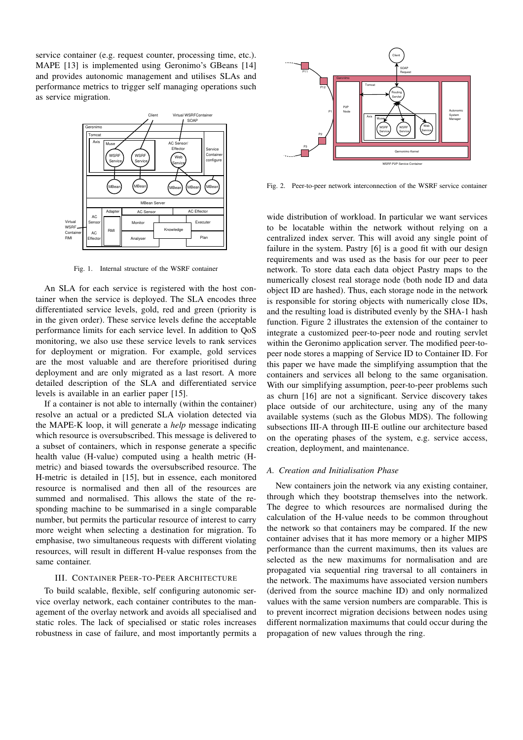service container (e.g. request counter, processing time, etc.). MAPE [13] is implemented using Geronimo's GBeans [14] and provides autonomic management and utilises SLAs and performance metrics to trigger self managing operations such as service migration.



Fig. 1. Internal structure of the WSRF container

An SLA for each service is registered with the host container when the service is deployed. The SLA encodes three differentiated service levels, gold, red and green (priority is in the given order). These service levels define the acceptable performance limits for each service level. In addition to QoS monitoring, we also use these service levels to rank services for deployment or migration. For example, gold services are the most valuable and are therefore prioritised during deployment and are only migrated as a last resort. A more detailed description of the SLA and differentiated service levels is available in an earlier paper [15].

If a container is not able to internally (within the container) resolve an actual or a predicted SLA violation detected via the MAPE-K loop, it will generate a *help* message indicating which resource is oversubscribed. This message is delivered to a subset of containers, which in response generate a specific health value (H-value) computed using a health metric (Hmetric) and biased towards the oversubscribed resource. The H-metric is detailed in [15], but in essence, each monitored resource is normalised and then all of the resources are summed and normalised. This allows the state of the responding machine to be summarised in a single comparable number, but permits the particular resource of interest to carry more weight when selecting a destination for migration. To emphasise, two simultaneous requests with different violating resources, will result in different H-value responses from the same container.

# III. CONTAINER PEER-TO-PEER ARCHITECTURE

To build scalable, flexible, self configuring autonomic service overlay network, each container contributes to the management of the overlay network and avoids all specialised and static roles. The lack of specialised or static roles increases robustness in case of failure, and most importantly permits a



Fig. 2. Peer-to-peer network interconnection of the WSRF service container

wide distribution of workload. In particular we want services to be locatable within the network without relying on a centralized index server. This will avoid any single point of failure in the system. Pastry [6] is a good fit with our design requirements and was used as the basis for our peer to peer network. To store data each data object Pastry maps to the numerically closest real storage node (both node ID and data object ID are hashed). Thus, each storage node in the network is responsible for storing objects with numerically close IDs, and the resulting load is distributed evenly by the SHA-1 hash function. Figure 2 illustrates the extension of the container to integrate a customized peer-to-peer node and routing servlet within the Geronimo application server. The modified peer-topeer node stores a mapping of Service ID to Container ID. For this paper we have made the simplifying assumption that the containers and services all belong to the same organisation. With our simplifying assumption, peer-to-peer problems such as churn [16] are not a significant. Service discovery takes place outside of our architecture, using any of the many available systems (such as the Globus MDS). The following subsections III-A through III-E outline our architecture based on the operating phases of the system, e.g. service access, creation, deployment, and maintenance.

## *A. Creation and Initialisation Phase*

New containers join the network via any existing container, through which they bootstrap themselves into the network. The degree to which resources are normalised during the calculation of the H-value needs to be common throughout the network so that containers may be compared. If the new container advises that it has more memory or a higher MIPS performance than the current maximums, then its values are selected as the new maximums for normalisation and are propagated via sequential ring traversal to all containers in the network. The maximums have associated version numbers (derived from the source machine ID) and only normalized values with the same version numbers are comparable. This is to prevent incorrect migration decisions between nodes using different normalization maximums that could occur during the propagation of new values through the ring.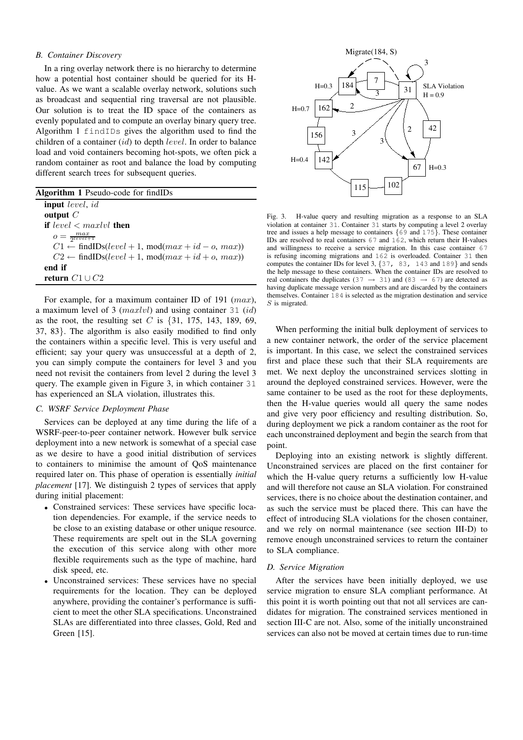# *B. Container Discovery*

In a ring overlay network there is no hierarchy to determine how a potential host container should be queried for its Hvalue. As we want a scalable overlay network, solutions such as broadcast and sequential ring traversal are not plausible. Our solution is to treat the ID space of the containers as evenly populated and to compute an overlay binary query tree. Algorithm 1 findIDs gives the algorithm used to find the children of a container  $(id)$  to depth level. In order to balance load and void containers becoming hot-spots, we often pick a random container as root and balance the load by computing different search trees for subsequent queries.

| <b>Algorithm 1</b> Pseudo-code for findIDs                               |
|--------------------------------------------------------------------------|
| <b>input</b> level, id                                                   |
| output $C$                                                               |
| if level $\lt{max}$ then                                                 |
| $o = \frac{max}{2^{level+1}}$                                            |
| $C1 \leftarrow \text{findIDS}(level + 1, \text{mod}(max + id - o, max))$ |
| $C2 \leftarrow \text{findIDS}(level + 1, \text{mod}(max + id + o, max))$ |
| end if                                                                   |
| return $C1 \cup C2$                                                      |

For example, for a maximum container ID of 191 (max), a maximum level of 3 ( $maxlvl$ ) and using container 31 (*id*) as the root, the resulting set  $C$  is  $\{31, 175, 143, 189, 69,$ 37, 83}. The algorithm is also easily modified to find only the containers within a specific level. This is very useful and efficient; say your query was unsuccessful at a depth of 2, you can simply compute the containers for level 3 and you need not revisit the containers from level 2 during the level 3 query. The example given in Figure 3, in which container 31 has experienced an SLA violation, illustrates this.

# *C. WSRF Service Deployment Phase*

Services can be deployed at any time during the life of a WSRF-peer-to-peer container network. However bulk service deployment into a new network is somewhat of a special case as we desire to have a good initial distribution of services to containers to minimise the amount of QoS maintenance required later on. This phase of operation is essentially *initial placement* [17]. We distinguish 2 types of services that apply during initial placement:

- Constrained services: These services have specific location dependencies. For example, if the service needs to be close to an existing database or other unique resource. These requirements are spelt out in the SLA governing the execution of this service along with other more flexible requirements such as the type of machine, hard disk speed, etc.
- Unconstrained services: These services have no special requirements for the location. They can be deployed anywhere, providing the container's performance is sufficient to meet the other SLA specifications. Unconstrained SLAs are differentiated into three classes, Gold, Red and Green [15].



Fig. 3. H-value query and resulting migration as a response to an SLA violation at container 31. Container 31 starts by computing a level 2 overlay tree and issues a help message to containers  $\{69 \text{ and } 175\}$ . These container IDs are resolved to real containers 67 and 162, which return their H-values and willingness to receive a service migration. In this case container 67 is refusing incoming migrations and 162 is overloaded. Container 31 then computes the container IDs for level 3, {37, 83, 143 and 189} and sends the help message to these containers. When the container IDs are resolved to real containers the duplicates (37  $\rightarrow$  31) and (83  $\rightarrow$  67) are detected as having duplicate message version numbers and are discarded by the containers themselves. Container 184 is selected as the migration destination and service S is migrated.

When performing the initial bulk deployment of services to a new container network, the order of the service placement is important. In this case, we select the constrained services first and place these such that their SLA requirements are met. We next deploy the unconstrained services slotting in around the deployed constrained services. However, were the same container to be used as the root for these deployments, then the H-value queries would all query the same nodes and give very poor efficiency and resulting distribution. So, during deployment we pick a random container as the root for each unconstrained deployment and begin the search from that point.

Deploying into an existing network is slightly different. Unconstrained services are placed on the first container for which the H-value query returns a sufficiently low H-value and will therefore not cause an SLA violation. For constrained services, there is no choice about the destination container, and as such the service must be placed there. This can have the effect of introducing SLA violations for the chosen container, and we rely on normal maintenance (see section III-D) to remove enough unconstrained services to return the container to SLA compliance.

# *D. Service Migration*

After the services have been initially deployed, we use service migration to ensure SLA compliant performance. At this point it is worth pointing out that not all services are candidates for migration. The constrained services mentioned in section III-C are not. Also, some of the initially unconstrained services can also not be moved at certain times due to run-time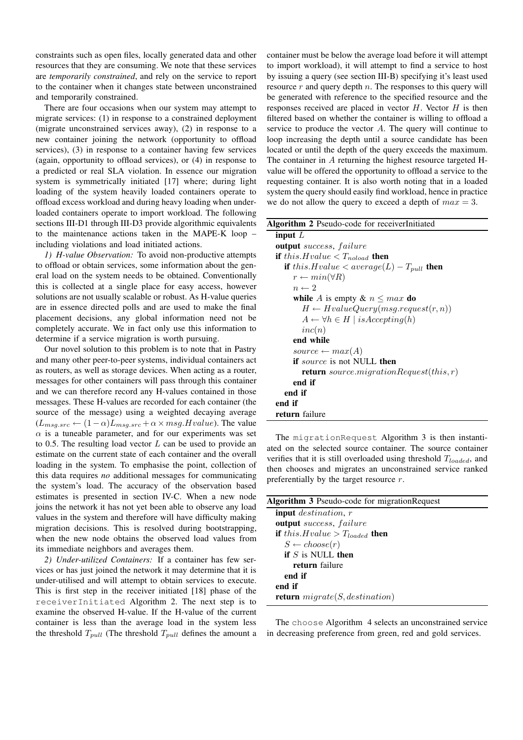constraints such as open files, locally generated data and other resources that they are consuming. We note that these services are *temporarily constrained*, and rely on the service to report to the container when it changes state between unconstrained and temporarily constrained.

There are four occasions when our system may attempt to migrate services: (1) in response to a constrained deployment (migrate unconstrained services away), (2) in response to a new container joining the network (opportunity to offload services), (3) in response to a container having few services (again, opportunity to offload services), or (4) in response to a predicted or real SLA violation. In essence our migration system is symmetrically initiated [17] where; during light loading of the system heavily loaded containers operate to offload excess workload and during heavy loading when underloaded containers operate to import workload. The following sections III-D1 through III-D3 provide algorithmic equivalents to the maintenance actions taken in the MAPE-K loop – including violations and load initiated actions.

*1) H-value Observation:* To avoid non-productive attempts to offload or obtain services, some information about the general load on the system needs to be obtained. Conventionally this is collected at a single place for easy access, however solutions are not usually scalable or robust. As H-value queries are in essence directed polls and are used to make the final placement decisions, any global information need not be completely accurate. We in fact only use this information to determine if a service migration is worth pursuing.

Our novel solution to this problem is to note that in Pastry and many other peer-to-peer systems, individual containers act as routers, as well as storage devices. When acting as a router, messages for other containers will pass through this container and we can therefore record any H-values contained in those messages. These H-values are recorded for each container (the source of the message) using a weighted decaying average  $(L_{msg.src} \leftarrow (1-\alpha)L_{msg.src} + \alpha \times msg.Hvalue)$ . The value  $\alpha$  is a tuneable parameter, and for our experiments was set to 0.5. The resulting load vector  $L$  can be used to provide an estimate on the current state of each container and the overall loading in the system. To emphasise the point, collection of this data requires *no* additional messages for communicating the system's load. The accuracy of the observation based estimates is presented in section IV-C. When a new node joins the network it has not yet been able to observe any load values in the system and therefore will have difficulty making migration decisions. This is resolved during bootstrapping, when the new node obtains the observed load values from its immediate neighbors and averages them.

*2) Under-utilized Containers:* If a container has few services or has just joined the network it may determine that it is under-utilised and will attempt to obtain services to execute. This is first step in the receiver initiated [18] phase of the receiverInitiated Algorithm 2. The next step is to examine the observed H-value. If the H-value of the current container is less than the average load in the system less the threshold  $T_{pull}$  (The threshold  $T_{pull}$  defines the amount a container must be below the average load before it will attempt to import workload), it will attempt to find a service to host by issuing a query (see section III-B) specifying it's least used resource  $r$  and query depth  $n$ . The responses to this query will be generated with reference to the specified resource and the responses received are placed in vector  $H$ . Vector  $H$  is then filtered based on whether the container is willing to offload a service to produce the vector A. The query will continue to loop increasing the depth until a source candidate has been located or until the depth of the query exceeds the maximum. The container in A returning the highest resource targeted Hvalue will be offered the opportunity to offload a service to the requesting container. It is also worth noting that in a loaded system the query should easily find workload, hence in practice we do not allow the query to exceed a depth of  $max = 3$ .

| <b>Algorithm 2</b> Pseudo-code for receiverInitiated |
|------------------------------------------------------|
| input $L$                                            |
| <b>output</b> success, failure                       |
| if this. Hvalue $\langle T_{noload}$ then            |
| if this. Hvalue $\langle average(L) - T_{pull}$ then |
| $r \leftarrow min(\forall R)$                        |
| $n \leftarrow 2$                                     |
| while A is empty & $n \leq max$ do                   |
| $H \leftarrow HvalueQuery(msg.request(r, n))$        |
| $A \leftarrow \forall h \in H \mid isAccepting(h)$   |
| inc(n)                                               |
| end while                                            |
| $source \leftarrow max(A)$                           |
| if source is not NULL then                           |
| <b>return</b> source.migrationRequest(this, r)       |
| end if                                               |
| end if                                               |
| end if                                               |
| return failure                                       |
|                                                      |

The migrationRequest Algorithm 3 is then instantiated on the selected source container. The source container verifies that it is still overloaded using threshold  $T_{loaded}$ , and then chooses and migrates an unconstrained service ranked preferentially by the target resource r.

| Algorithm 3 Pseudo-code for migration Request     |
|---------------------------------------------------|
| <b>input</b> destination, r                       |
| <b>output</b> success, failure                    |
| <b>if</b> this. Hvalue > $T_{loaded}$ <b>then</b> |
| $S \leftarrow choose(r)$                          |
| <b>if</b> $S$ is NULL then                        |
| return failure                                    |
| end if                                            |
| end if                                            |
| <b>return</b> $magnetic(S, destination)$          |

The choose Algorithm 4 selects an unconstrained service in decreasing preference from green, red and gold services.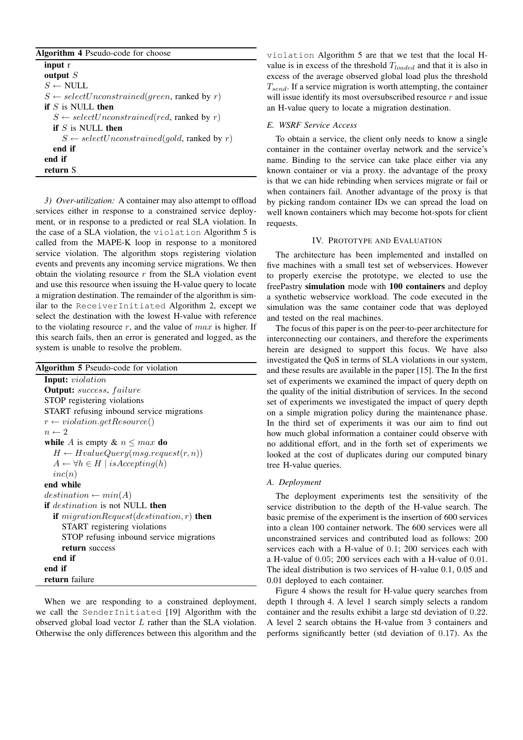#### **Algorithm 4** Pseudo-code for choose

| input r                                                        |
|----------------------------------------------------------------|
| output $S$                                                     |
| $S \leftarrow \text{NULL}$                                     |
| $S \leftarrow selectUnconstrained(green, ranked by r)$         |
| <b>if</b> $S$ is NULL then                                     |
| $S \leftarrow selectUnconstrained (red, ranked by r)$          |
| <b>if</b> $S$ is NULL then                                     |
| $S \leftarrow selectUnconstrained(gold, \text{ ranked by } r)$ |
| end if                                                         |
| end if                                                         |
| return S                                                       |

*3) Over-utilization:* A container may also attempt to offload services either in response to a constrained service deployment, or in response to a predicted or real SLA violation. In the case of a SLA violation, the violation Algorithm 5 is called from the MAPE-K loop in response to a monitored service violation. The algorithm stops registering violation events and prevents any incoming service migrations. We then obtain the violating resource  $r$  from the SLA violation event and use this resource when issuing the H-value query to locate a migration destination. The remainder of the algorithm is similar to the ReceiverInitiated Algorithm 2, except we select the destination with the lowest H-value with reference to the violating resource  $r$ , and the value of  $max$  is higher. If this search fails, then an error is generated and logged, as the system is unable to resolve the problem.

| Algorithm 5 Pseudo-code for violation              |
|----------------------------------------------------|
| Input: violation                                   |
| <b>Output:</b> success, failure                    |
| STOP registering violations                        |
| START refusing inbound service migrations          |
| $r \leftarrow violation.getResource()$             |
| $n \leftarrow 2$                                   |
| while A is empty & $n \leq max$ do                 |
| $H \leftarrow HvalueQuery(msg.request(r, n))$      |
| $A \leftarrow \forall h \in H \mid isAccepting(h)$ |
| inc(n)                                             |
| end while                                          |
| $\text{destination} \leftarrow \min(A)$            |
| if destination is not NULL then                    |
| if $migrationRequest(destination, r)$ then         |
| START registering violations                       |
| STOP refusing inbound service migrations           |
| return success                                     |
| end if                                             |
| end if                                             |
| return failure                                     |

When we are responding to a constrained deployment, we call the SenderInitiated [19] Algorithm with the observed global load vector L rather than the SLA violation. Otherwise the only differences between this algorithm and the violation Algorithm 5 are that we test that the local Hvalue is in excess of the threshold  $T_{loaded}$  and that it is also in excess of the average observed global load plus the threshold  $T_{send}$ . If a service migration is worth attempting, the container will issue identify its most oversubscribed resource  $r$  and issue an H-value query to locate a migration destination.

#### *E. WSRF Service Access*

To obtain a service, the client only needs to know a single container in the container overlay network and the service's name. Binding to the service can take place either via any known container or via a proxy. the advantage of the proxy is that we can hide rebinding when services migrate or fail or when containers fail. Another advantage of the proxy is that by picking random container IDs we can spread the load on well known containers which may become hot-spots for client requests.

#### IV. PROTOTYPE AND EVALUATION

The architecture has been implemented and installed on five machines with a small test set of webservices. However to properly exercise the prototype, we elected to use the freePastry **simulation** mode with **100 containers** and deploy a synthetic webservice workload. The code executed in the simulation was the same container code that was deployed and tested on the real machines.

The focus of this paper is on the peer-to-peer architecture for interconnecting our containers, and therefore the experiments herein are designed to support this focus. We have also investigated the QoS in terms of SLA violations in our system, and these results are available in the paper [15]. The In the first set of experiments we examined the impact of query depth on the quality of the initial distribution of services. In the second set of experiments we investigated the impact of query depth on a simple migration policy during the maintenance phase. In the third set of experiments it was our aim to find out how much global information a container could observe with no additional effort, and in the forth set of experiments we looked at the cost of duplicates during our computed binary tree H-value queries.

#### *A. Deployment*

The deployment experiments test the sensitivity of the service distribution to the depth of the H-value search. The basic premise of the experiment is the insertion of 600 services into a clean 100 container network. The 600 services were all unconstrained services and contributed load as follows: 200 services each with a H-value of 0.1; 200 services each with a H-value of 0.05; 200 services each with a H-value of 0.01. The ideal distribution is two services of H-value 0.1, 0.05 and 0.01 deployed to each container.

Figure 4 shows the result for H-value query searches from depth 1 through 4. A level 1 search simply selects a random container and the results exhibit a large std deviation of 0.22. A level 2 search obtains the H-value from 3 containers and performs significantly better (std deviation of 0.17). As the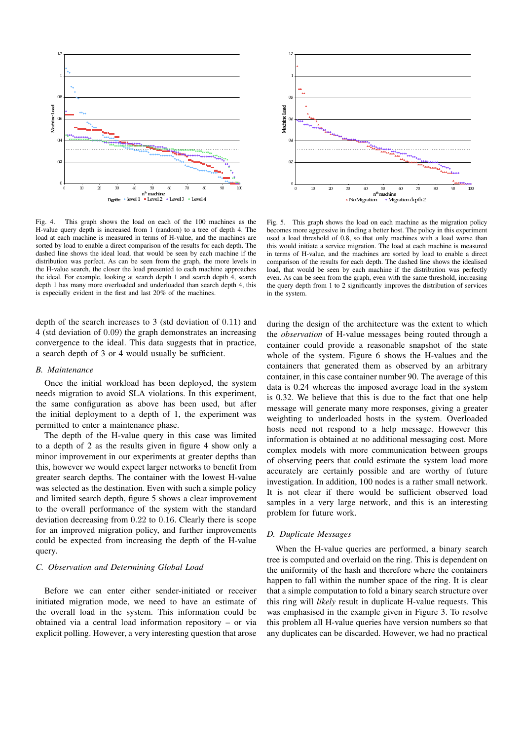

Fig. 4. This graph shows the load on each of the 100 machines as the H-value query depth is increased from 1 (random) to a tree of depth 4. The load at each machine is measured in terms of H-value, and the machines are sorted by load to enable a direct comparison of the results for each depth. The dashed line shows the ideal load, that would be seen by each machine if the distribution was perfect. As can be seen from the graph, the more levels in the H-value search, the closer the load presented to each machine approaches the ideal. For example, looking at search depth 1 and search depth 4, search depth 1 has many more overloaded and underloaded than search depth 4, this is especially evident in the first and last 20% of the machines.

depth of the search increases to 3 (std deviation of 0.11) and 4 (std deviation of 0.09) the graph demonstrates an increasing convergence to the ideal. This data suggests that in practice, a search depth of 3 or 4 would usually be sufficient.

## *B. Maintenance*

Once the initial workload has been deployed, the system needs migration to avoid SLA violations. In this experiment, the same configuration as above has been used, but after the initial deployment to a depth of 1, the experiment was permitted to enter a maintenance phase.

The depth of the H-value query in this case was limited to a depth of 2 as the results given in figure 4 show only a minor improvement in our experiments at greater depths than this, however we would expect larger networks to benefit from greater search depths. The container with the lowest H-value was selected as the destination. Even with such a simple policy and limited search depth, figure 5 shows a clear improvement to the overall performance of the system with the standard deviation decreasing from 0.22 to 0.16. Clearly there is scope for an improved migration policy, and further improvements could be expected from increasing the depth of the H-value query.

# *C. Observation and Determining Global Load*

Before we can enter either sender-initiated or receiver initiated migration mode, we need to have an estimate of the overall load in the system. This information could be obtained via a central load information repository – or via explicit polling. However, a very interesting question that arose



Fig. 5. This graph shows the load on each machine as the migration policy becomes more aggressive in finding a better host. The policy in this experiment used a load threshold of 0.8, so that only machines with a load worse than this would initiate a service migration. The load at each machine is measured in terms of H-value, and the machines are sorted by load to enable a direct comparison of the results for each depth. The dashed line shows the idealised load, that would be seen by each machine if the distribution was perfectly even. As can be seen from the graph, even with the same threshold, increasing the query depth from 1 to 2 significantly improves the distribution of services in the system.

during the design of the architecture was the extent to which the *observation* of H-value messages being routed through a container could provide a reasonable snapshot of the state whole of the system. Figure 6 shows the H-values and the containers that generated them as observed by an arbitrary container, in this case container number 90. The average of this data is 0.24 whereas the imposed average load in the system is 0.32. We believe that this is due to the fact that one help message will generate many more responses, giving a greater weighting to underloaded hosts in the system. Overloaded hosts need not respond to a help message. However this information is obtained at no additional messaging cost. More complex models with more communication between groups of observing peers that could estimate the system load more accurately are certainly possible and are worthy of future investigation. In addition, 100 nodes is a rather small network. It is not clear if there would be sufficient observed load samples in a very large network, and this is an interesting problem for future work.

#### *D. Duplicate Messages*

When the H-value queries are performed, a binary search tree is computed and overlaid on the ring. This is dependent on the uniformity of the hash and therefore where the containers happen to fall within the number space of the ring. It is clear that a simple computation to fold a binary search structure over this ring will *likely* result in duplicate H-value requests. This was emphasised in the example given in Figure 3. To resolve this problem all H-value queries have version numbers so that any duplicates can be discarded. However, we had no practical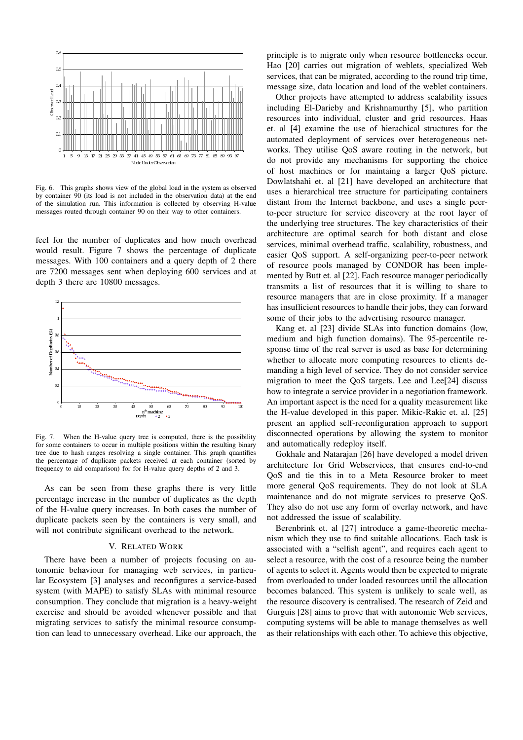

Fig. 6. This graphs shows view of the global load in the system as observed by container 90 (its load is not included in the observation data) at the end of the simulation run. This information is collected by observing H-value messages routed through container 90 on their way to other containers.

feel for the number of duplicates and how much overhead would result. Figure 7 shows the percentage of duplicate messages. With 100 containers and a query depth of 2 there are 7200 messages sent when deploying 600 services and at depth 3 there are 10800 messages.



Fig. 7. When the H-value query tree is computed, there is the possibility for some containers to occur in multiple positions within the resulting binary tree due to hash ranges resolving a single container. This graph quantifies the percentage of duplicate packets received at each container (sorted by frequency to aid comparison) for for H-value query depths of 2 and 3.

As can be seen from these graphs there is very little percentage increase in the number of duplicates as the depth of the H-value query increases. In both cases the number of duplicate packets seen by the containers is very small, and will not contribute significant overhead to the network.

#### V. RELATED WORK

There have been a number of projects focusing on autonomic behaviour for managing web services, in particular Ecosystem [3] analyses and reconfigures a service-based system (with MAPE) to satisfy SLAs with minimal resource consumption. They conclude that migration is a heavy-weight exercise and should be avoided whenever possible and that migrating services to satisfy the minimal resource consumption can lead to unnecessary overhead. Like our approach, the principle is to migrate only when resource bottlenecks occur. Hao [20] carries out migration of weblets, specialized Web services, that can be migrated, according to the round trip time, message size, data location and load of the weblet containers.

Other projects have attempted to address scalability issues including El-Darieby and Krishnamurthy [5], who partition resources into individual, cluster and grid resources. Haas et. al [4] examine the use of hierachical structures for the automated deployment of services over heterogeneous networks. They utilise QoS aware routing in the network, but do not provide any mechanisms for supporting the choice of host machines or for maintaing a larger QoS picture. Dowlatshahi et. al [21] have developed an architecture that uses a hierarchical tree structure for participating containers distant from the Internet backbone, and uses a single peerto-peer structure for service discovery at the root layer of the underlying tree structures. The key characteristics of their architecture are optimal search for both distant and close services, minimal overhead traffic, scalability, robustness, and easier QoS support. A self-organizing peer-to-peer network of resource pools managed by CONDOR has been implemented by Butt et. al [22]. Each resource manager periodically transmits a list of resources that it is willing to share to resource managers that are in close proximity. If a manager has insufficient resources to handle their jobs, they can forward some of their jobs to the advertising resource manager.

Kang et. al [23] divide SLAs into function domains (low, medium and high function domains). The 95-percentile response time of the real server is used as base for determining whether to allocate more computing resources to clients demanding a high level of service. They do not consider service migration to meet the QoS targets. Lee and Lee[24] discuss how to integrate a service provider in a negotiation framework. An important aspect is the need for a quality measurement like the H-value developed in this paper. Mikic-Rakic et. al. [25] present an applied self-reconfiguration approach to support disconnected operations by allowing the system to monitor and automatically redeploy itself.

Gokhale and Natarajan [26] have developed a model driven architecture for Grid Webservices, that ensures end-to-end QoS and tie this in to a Meta Resource broker to meet more general QoS requirements. They do not look at SLA maintenance and do not migrate services to preserve QoS. They also do not use any form of overlay network, and have not addressed the issue of scalability.

Berenbrink et. al [27] introduce a game-theoretic mechanism which they use to find suitable allocations. Each task is associated with a "selfish agent", and requires each agent to select a resource, with the cost of a resource being the number of agents to select it. Agents would then be expected to migrate from overloaded to under loaded resources until the allocation becomes balanced. This system is unlikely to scale well, as the resource discovery is centralised. The research of Zeid and Gurguis [28] aims to prove that with autonomic Web services, computing systems will be able to manage themselves as well as their relationships with each other. To achieve this objective,